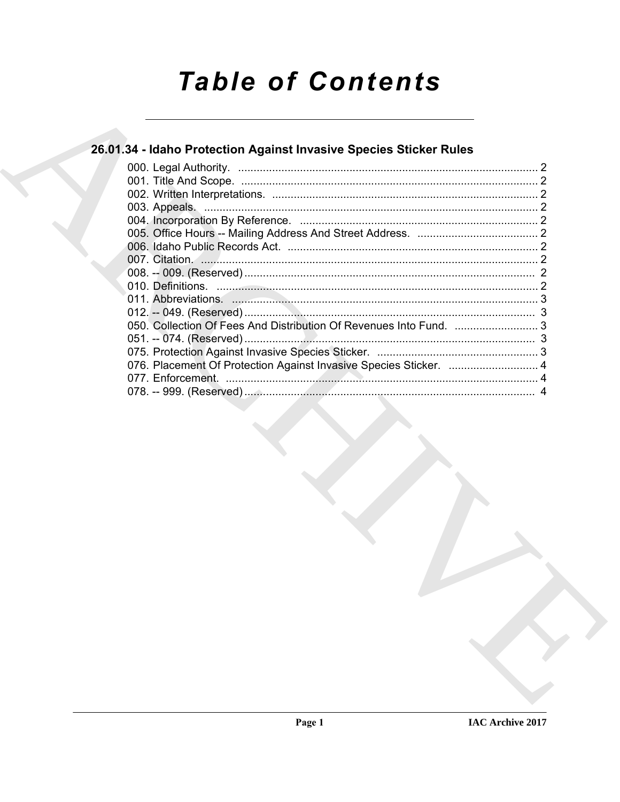# **Table of Contents**

# 26.01.34 - Idaho Protection Against Invasive Species Sticker Rules

| 076. Placement Of Protection Against Invasive Species Sticker.  4 |  |
|-------------------------------------------------------------------|--|
|                                                                   |  |
|                                                                   |  |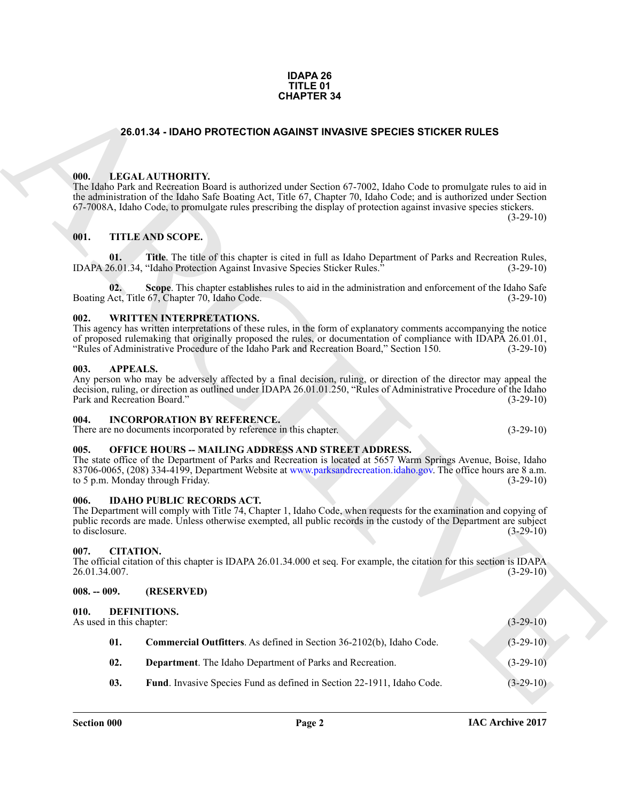#### **IDAPA 26 TITLE 01 CHAPTER 34**

#### **26.01.34 - IDAHO PROTECTION AGAINST INVASIVE SPECIES STICKER RULES**

#### <span id="page-1-1"></span><span id="page-1-0"></span>**000. LEGAL AUTHORITY.**

#### <span id="page-1-2"></span>**001. TITLE AND SCOPE.**

#### <span id="page-1-3"></span>**002. WRITTEN INTERPRETATIONS.**

#### <span id="page-1-4"></span>**003. APPEALS.**

#### <span id="page-1-5"></span>**004. INCORPORATION BY REFERENCE.**

#### <span id="page-1-6"></span>**005. OFFICE HOURS -- MAILING ADDRESS AND STREET ADDRESS.**

#### <span id="page-1-7"></span>**006. IDAHO PUBLIC RECORDS ACT.**

#### <span id="page-1-8"></span>**007. CITATION.**

#### <span id="page-1-14"></span><span id="page-1-13"></span><span id="page-1-12"></span><span id="page-1-11"></span><span id="page-1-10"></span><span id="page-1-9"></span>**008. -- 009. (RESERVED)**

| <b>CHAPTER 34</b> |                                                        |                                                                                                                                                                                                                                                                                                                                                                                                               |             |  |
|-------------------|--------------------------------------------------------|---------------------------------------------------------------------------------------------------------------------------------------------------------------------------------------------------------------------------------------------------------------------------------------------------------------------------------------------------------------------------------------------------------------|-------------|--|
|                   |                                                        | <b>26.01.34 - IDAHO PROTECTION AGAINST INVASIVE SPECIES STICKER RULES</b>                                                                                                                                                                                                                                                                                                                                     |             |  |
|                   | 000.<br>001.                                           | LEGAL AUTHORITY.<br>The Idaho Park and Recreation Board is authorized under Section 67-7002, Idaho Code to promulgate rules to aid in<br>the administration of the Idaho Safe Boating Act, Title 67, Chapter 70, Idaho Code; and is authorized under Section<br>67-7008A, Idaho Code, to promulgate rules prescribing the display of protection against invasive species stickers.<br><b>TITLE AND SCOPE.</b> | $(3-29-10)$ |  |
|                   | 01.                                                    | Title. The title of this chapter is cited in full as Idaho Department of Parks and Recreation Rules,<br>IDAPA 26.01.34, "Idaho Protection Against Invasive Species Sticker Rules."                                                                                                                                                                                                                            | $(3-29-10)$ |  |
|                   | 02.                                                    | Scope. This chapter establishes rules to aid in the administration and enforcement of the Idaho Safe<br>Boating Act, Title 67, Chapter 70, Idaho Code.                                                                                                                                                                                                                                                        | $(3-29-10)$ |  |
|                   | 002.                                                   | <b>WRITTEN INTERPRETATIONS.</b><br>This agency has written interpretations of these rules, in the form of explanatory comments accompanying the notice<br>of proposed rulemaking that originally proposed the rules, or documentation of compliance with IDAPA 26.01.01,<br>"Rules of Administrative Procedure of the Idaho Park and Recreation Board," Section 150.                                          | $(3-29-10)$ |  |
|                   | 003.<br><b>APPEALS.</b><br>Park and Recreation Board." | Any person who may be adversely affected by a final decision, ruling, or direction of the director may appeal the<br>decision, ruling, or direction as outlined under IDAPA 26.01.01.250, "Rules of Administrative Procedure of the Idaho                                                                                                                                                                     | $(3-29-10)$ |  |
|                   | 004.                                                   | <b>INCORPORATION BY REFERENCE.</b><br>There are no documents incorporated by reference in this chapter.                                                                                                                                                                                                                                                                                                       | $(3-29-10)$ |  |
|                   | 005.                                                   | OFFICE HOURS -- MAILING ADDRESS AND STREET ADDRESS.<br>The state office of the Department of Parks and Recreation is located at 5657 Warm Springs Avenue, Boise, Idaho<br>83706-0065, (208) 334-4199, Department Website at www.parksandrecreation.idaho.gov. The office hours are 8 a.m.<br>to 5 p.m. Monday through Friday.                                                                                 | $(3-29-10)$ |  |
|                   | 006.<br>to disclosure.                                 | <b>IDAHO PUBLIC RECORDS ACT.</b><br>The Department will comply with Title 74, Chapter 1, Idaho Code, when requests for the examination and copying of<br>public records are made. Unless otherwise exempted, all public records in the custody of the Department are subject                                                                                                                                  | $(3-29-10)$ |  |
|                   | <b>CITATION.</b><br>007.<br>26.01.34.007.              | The official citation of this chapter is IDAPA 26.01.34.000 et seq. For example, the citation for this section is IDAPA                                                                                                                                                                                                                                                                                       | $(3-29-10)$ |  |
|                   | $008. - 009.$                                          | (RESERVED)                                                                                                                                                                                                                                                                                                                                                                                                    |             |  |
|                   | 010.<br>As used in this chapter:                       | DEFINITIONS.                                                                                                                                                                                                                                                                                                                                                                                                  | $(3-29-10)$ |  |
|                   | 01.                                                    | Commercial Outfitters. As defined in Section 36-2102(b), Idaho Code.                                                                                                                                                                                                                                                                                                                                          | $(3-29-10)$ |  |
|                   | 02.                                                    | Department. The Idaho Department of Parks and Recreation.                                                                                                                                                                                                                                                                                                                                                     | $(3-29-10)$ |  |
|                   | 03.                                                    | Fund. Invasive Species Fund as defined in Section 22-1911, Idaho Code.                                                                                                                                                                                                                                                                                                                                        | $(3-29-10)$ |  |
|                   |                                                        |                                                                                                                                                                                                                                                                                                                                                                                                               |             |  |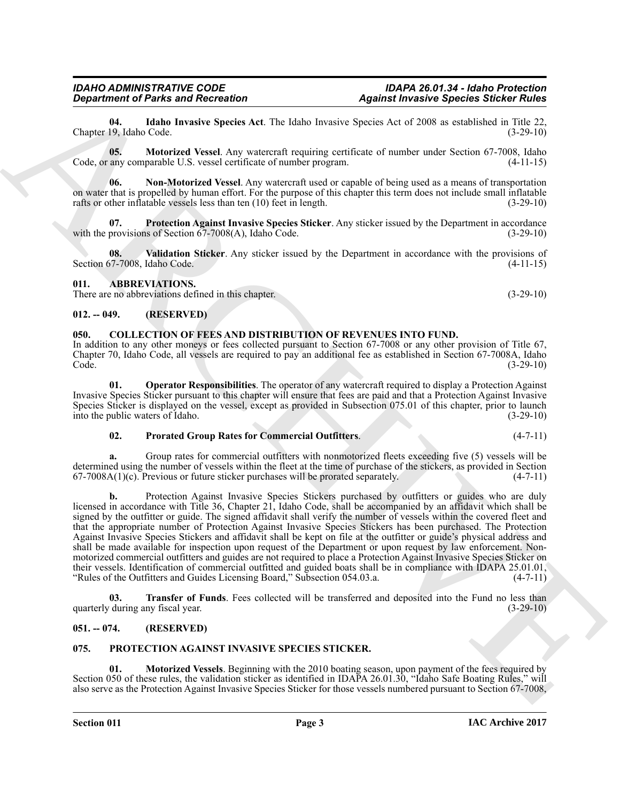#### **Section 011 Page 3**

Section 050 of these rules, the validation sticker as identified in IDAPA 26.01.30, "Idaho Safe Boating Rules," will also serve as the Protection Against Invasive Species Sticker for those vessels numbered pursuant to Section 67-7008,

#### **IAC Archive 2017**

**Transfer of Funds**. Fees collected will be transferred and deposited into the Fund no less than

<span id="page-2-15"></span><span id="page-2-14"></span>**01. Motorized Vessels**. Beginning with the 2010 boating season, upon payment of the fees required by

<span id="page-2-8"></span>quarterly during any fiscal year. (3-29-10)

#### <span id="page-2-3"></span>**051. -- 074. (RESERVED)**

<span id="page-2-1"></span>**012. -- 049. (RESERVED)**

#### <span id="page-2-4"></span>**075. PROTECTION AGAINST INVASIVE SPECIES STICKER.**

**Equivalent of Pairis and Reionation**<br>Clamps of Pairis and Reionation<br>Clamps of Pairis and Reionation A. The laborations of Space and Space and Space and Space and Space 19.<br>
Co. 2013. Motorized Venel Any seasonal requiri signed by the outfitter or guide. The signed affidavit shall verify the number of vessels within the covered fleet and that the appropriate number of Protection Against Invasive Species Stickers has been purchased. The Protection Against Invasive Species Stickers and affidavit shall be kept on file at the outfitter or guide's physical address and shall be made available for inspection upon request of the Department or upon request by law enforcement. Nonmotorized commercial outfitters and guides are not required to place a Protection Against Invasive Species Sticker on their vessels. Identification of commercial outfitted and guided boats shall be in compliance with IDAPA 25.01.01,<br>"Rules of the Outfitters and Guides Licensing Board." Subsection 054.03.a. (4-7-11) "Rules of the Outfitters and Guides Licensing Board," Subsection 054.03.a.

determined using the number of vessels within the fleet at the time of purchase of the stickers, as provided in Section  $67-7008A(1)(c)$ . Previous or future sticker purchases will be prorated separately.  $(4-7-11)$  $67-7008A(1)(c)$ . Previous or future sticker purchases will be prorated separately. **b.** Protection Against Invasive Species Stickers purchased by outfitters or guides who are duly licensed in accordance with Title 36, Chapter 21, Idaho Code, shall be accompanied by an affidavit which shall be

Species Sticker is displayed on the vessel, except as provided in Subsection 075.01 of this chapter, prior to launch into the public waters of Idaho. (3-29-10) into the public waters of Idaho. **02. Prorated Group Rates for Commercial Outfitters**. (4-7-11) **a.** Group rates for commercial outfitters with nonmotorized fleets exceeding five (5) vessels will be

Invasive Species Sticker pursuant to this chapter will ensure that fees are paid and that a Protection Against Invasive

<span id="page-2-7"></span><span id="page-2-6"></span>**01. Operator Responsibilities**. The operator of any watercraft required to display a Protection Against

<span id="page-2-5"></span><span id="page-2-2"></span>**050. COLLECTION OF FEES AND DISTRIBUTION OF REVENUES INTO FUND.** In addition to any other moneys or fees collected pursuant to Section 67-7008 or any other provision of Title 67, Chapter 70, Idaho Code, all vessels are required to pay an additional fee as established in Section 67-7008A, Idaho Code. (3-29-10)

<span id="page-2-0"></span>Section 67-7008, Idaho Code. (4-11-15) **011. ABBREVIATIONS.** There are no abbreviations defined in this chapter. (3-29-10) (3-29-10)

<span id="page-2-11"></span>**06. Non-Motorized Vessel**. Any watercraft used or capable of being used as a means of transportation on water that is propelled by human effort. For the purpose of this chapter this term does not include small inflatable

<span id="page-2-12"></span>**07.** Protection Against Invasive Species Sticker. Any sticker issued by the Department in accordance provisions of Section 67-7008(A), Idaho Code. (3-29-10) with the provisions of Section  $67-7008(A)$ , Idaho Code.

<span id="page-2-13"></span>**08. Validation Sticker**. Any sticker issued by the Department in accordance with the provisions of

rafts or other inflatable vessels less than ten (10) feet in length. (3-29-10)

<span id="page-2-10"></span>**05. Motorized Vessel**. Any watercraft requiring certificate of number under Section 67-7008, Idaho Code, or any comparable U.S. vessel certificate of number program. (4-11-15)

<span id="page-2-9"></span>**04. Idaho Invasive Species Act**. The Idaho Invasive Species Act of 2008 as established in Title 22, Chapter 19, Idaho Code.

*IDAHO ADMINISTRATIVE CODE IDAPA 26.01.34 - Idaho Protection Department of Parks and Recreation Against Invasive Species Sticker Rules*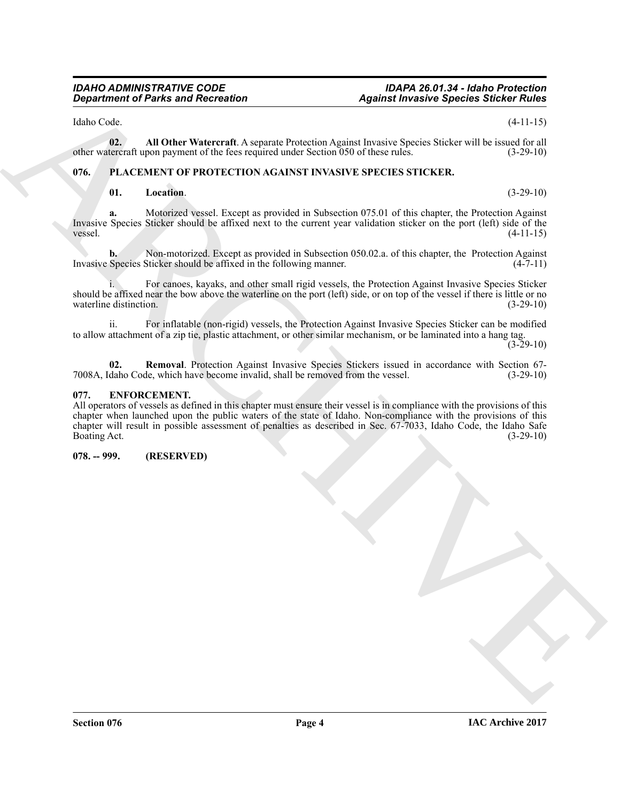Idaho Code. (4-11-15)

**02. All Other Watercraft**. A separate Protection Against Invasive Species Sticker will be issued for all other watercraft upon payment of the fees required under Section 050 of these rules. (3-29-10)

### <span id="page-3-0"></span>**076. PLACEMENT OF PROTECTION AGAINST INVASIVE SPECIES STICKER.**

### <span id="page-3-7"></span><span id="page-3-5"></span><span id="page-3-4"></span>**01. Location**. (3-29-10)

**a.** Motorized vessel. Except as provided in Subsection 075.01 of this chapter, the Protection Against Invasive Species Sticker should be affixed next to the current year validation sticker on the port (left) side of the vessel. (4-11-15)

**b.** Non-motorized. Except as provided in Subsection 050.02.a. of this chapter, the Protection Against Invasive Species Sticker should be affixed in the following manner. (4-7-11)

i. For canoes, kayaks, and other small rigid vessels, the Protection Against Invasive Species Sticker should be affixed near the bow above the waterline on the port (left) side, or on top of the vessel if there is little or no waterline distinction. (3-29-10)

ii. For inflatable (non-rigid) vessels, the Protection Against Invasive Species Sticker can be modified to allow attachment of a zip tie, plastic attachment, or other similar mechanism, or be laminated into a hang tag.  $(3-29-10)$ 

<span id="page-3-6"></span>**02. Removal**. Protection Against Invasive Species Stickers issued in accordance with Section 67-<br>
daho Code, which have become invalid, shall be removed from the vessel. (3-29-10) 7008A, Idaho Code, which have become invalid, shall be removed from the vessel.

#### <span id="page-3-3"></span><span id="page-3-1"></span>**077. ENFORCEMENT.**

**Equivalent of Parks and Recreation**<br>
Halos Costa. **Strict Warrent A** sequence Protection Against Proteins Species Strict with  $\frac{1}{(2+2)(4)}$ <br>
Share the second the second term is consistent to the second term is a second All operators of vessels as defined in this chapter must ensure their vessel is in compliance with the provisions of this chapter when launched upon the public waters of the state of Idaho. Non-compliance with the provisions of this chapter will result in possible assessment of penalties as described in Sec. 67-7033, Idaho Code, the Idaho Safe Boating Act. (3-29-10)

#### <span id="page-3-2"></span>**078. -- 999. (RESERVED)**